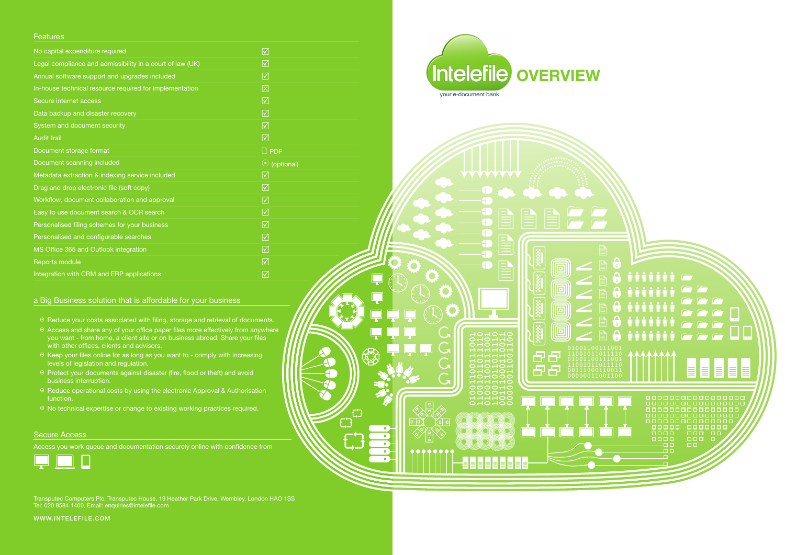#### **Features**

| No capital expenditure required                           | ☑                     |
|-----------------------------------------------------------|-----------------------|
| Legal compliance and admissibility in a court of law (UK) | ☑                     |
| Annual software support and upgrades included             | ☑                     |
| In-house technical resource required for implementation   | 区                     |
| Secure internet access                                    | $\triangledown$       |
| Data backup and disaster recovery                         | $\triangledown$       |
| System and document security                              | ☑                     |
| <b>Audit trail</b>                                        | $\triangledown$       |
| Document storage format                                   | $\Box$ PDF            |
| Document scanning included                                | (optional)<br>$\odot$ |
| Metadata extraction & indexing service included           | $\triangledown$       |
| Drag and drop electronic file (soft copy)                 | $\triangledown$       |
| Workflow, document collaboration and approval             | ☑                     |
| Easy to use document search & OCR search                  | $\triangledown$       |
| Personalised filing schemes for your business             | ☑                     |
| Personalised and configurable searches                    | $\triangledown$       |
| MS Office 365 and Outlook integration                     | $\triangledown$       |
| Reports module                                            | $\triangledown$       |
| Integration with CRM and ERP applications                 | ☑                     |

#### a Big Business solution that is affordable for your business

- $\circ$  Reduce your costs associated with filing, storage and retrieval of documents.
- $\circ$  Access and share any of your office paper files more effectively from anywhere you want - from home, a client site or on business abroad. Share your files with other offices, clients and advisors.
- $\odot$  Keep your files online for as long as you want to comply with increasing levels of legislation and regulation.
- < Protect your documents against disaster (fire, flood or theft) and avoid business interruption.
- <sup>O</sup> Reduce operational costs by using the electronic Approval & Authorisation function.
- <sup>O</sup> No technical expertise or change to existing working practices required.

#### Secure Access

Access you work queue and documentation securely online with confidence from



Transputec Computers Plc, Transputec House, 19 Heather Park Drive, Wembley, London HAO 1SS Tel: 020 8584 1400, Email: enquiries@intelefile.com

WWW.intelefile.COM



◯

لىكا

40 **AT** 

£

OHOHO<br>HOHOHO

 $\overline{\Omega}$ 

 $\overline{\Xi}$ 

 $\Box$ 

回

 $\overline{\blacksquare}$ 

回

**In the Second** 

母 臣